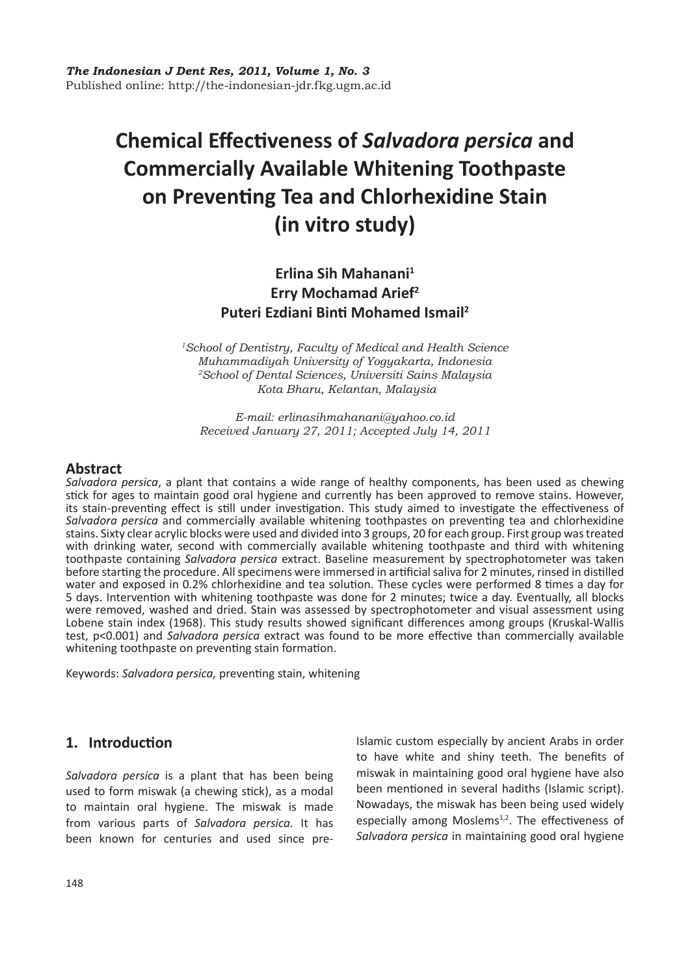# **Chemical Effectiveness of** *Salvadora persica* **and Commercially Available Whitening Toothpaste on Preventing Tea and Chlorhexidine Stain (in vitro study)**

# **Erlina Sih Mahanani<sup>1</sup> Erry Mochamad Arief<sup>2</sup> Puteri Ezdiani Binti Mohamed Ismail<sup>2</sup>**

*1School of Dentistry, Faculty of Medical and Health Science Muhammadiyah University of Yogyakarta, Indonesia 2School of Dental Sciences, Universiti Sains Malaysia Kota Bharu, Kelantan, Malaysia*

*E-mail: erlinasihmahanani@yahoo.co.id Received January 27, 2011; Accepted July 14, 2011*

### **Abstract**

*Salvadora persica*, a plant that contains a wide range of healthy components, has been used as chewing stick for ages to maintain good oral hygiene and currently has been approved to remove stains. However, its stain-preventing effect is still under investigation. This study aimed to investigate the effectiveness of *Salvadora persica* and commercially available whitening toothpastes on preventing tea and chlorhexidine stains. Sixty clear acrylic blocks were used and divided into 3 groups, 20 for each group. First group was treated with drinking water, second with commercially available whitening toothpaste and third with whitening toothpaste containing *Salvadora persica* extract. Baseline measurement by spectrophotometer was taken before starting the procedure. All specimens were immersed in artificial saliva for 2 minutes, rinsed in distilled water and exposed in 0.2% chlorhexidine and tea solution. These cycles were performed 8 times a day for 5 days. Intervention with whitening toothpaste was done for 2 minutes; twice a day. Eventually, all blocks were removed, washed and dried. Stain was assessed by spectrophotometer and visual assessment using Lobene stain index (1968). This study results showed significant differences among groups (Kruskal-Wallis test, p<0.001) and *Salvadora persica* extract was found to be more effective than commercially available whitening toothpaste on preventing stain formation.

Keywords: *Salvadora persica,* preventing stain, whitening

# **1. Introduction**

*Salvadora persica* is a plant that has been being used to form miswak (a chewing stick), as a modal to maintain oral hygiene. The miswak is made from various parts of *Salvadora persica.* It has been known for centuries and used since pre-

Islamic custom especially by ancient Arabs in order to have white and shiny teeth. The benefits of miswak in maintaining good oral hygiene have also been mentioned in several hadiths (Islamic script). Nowadays, the miswak has been being used widely especially among Moslems<sup>1,2</sup>. The effectiveness of *Salvadora persica* in maintaining good oral hygiene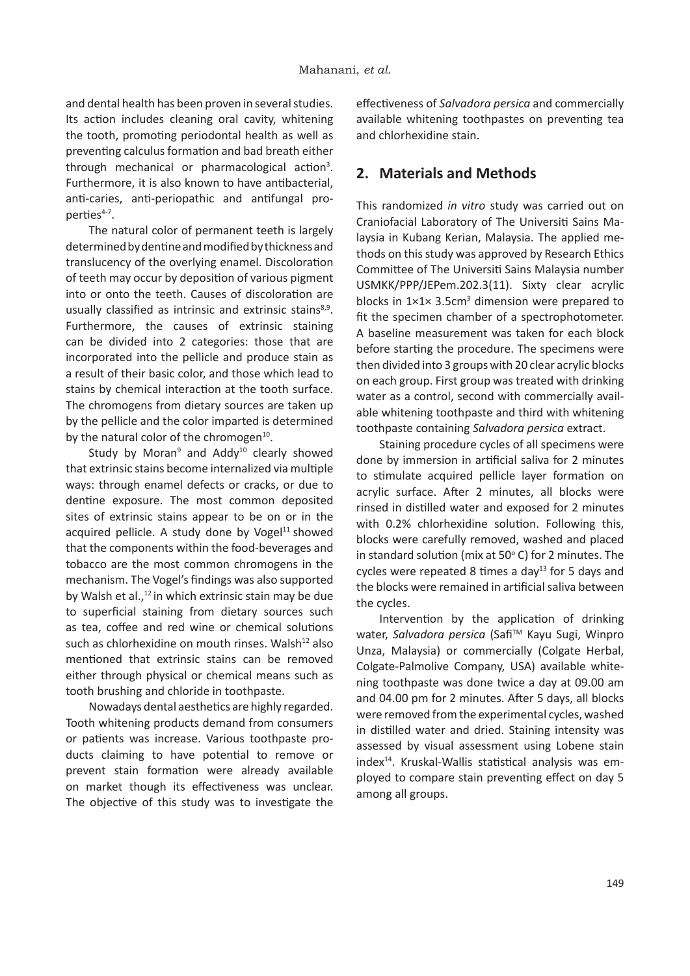and dental health has been proven in several studies. Its action includes cleaning oral cavity, whitening the tooth, promoting periodontal health as well as preventing calculus formation and bad breath either through mechanical or pharmacological action<sup>3</sup>. Furthermore, it is also known to have antibacterial, anti-caries, anti-periopathic and antifungal properties<sup>4-7</sup>.

The natural color of permanent teeth is largely determined by dentine and modified by thickness and translucency of the overlying enamel. Discoloration of teeth may occur by deposition of various pigment into or onto the teeth. Causes of discoloration are usually classified as intrinsic and extrinsic stains<sup>8,9</sup>. Furthermore, the causes of extrinsic staining can be divided into 2 categories: those that are incorporated into the pellicle and produce stain as a result of their basic color, and those which lead to stains by chemical interaction at the tooth surface. The chromogens from dietary sources are taken up by the pellicle and the color imparted is determined by the natural color of the chromogen $10$ .

Study by Moran<sup>9</sup> and Addy<sup>10</sup> clearly showed that extrinsic stains become internalized via multiple ways: through enamel defects or cracks, or due to dentine exposure. The most common deposited sites of extrinsic stains appear to be on or in the acquired pellicle. A study done by Voge $1^{11}$  showed that the components within the food-beverages and tobacco are the most common chromogens in the mechanism. The Vogel's findings was also supported by Walsh et al.,<sup>12</sup> in which extrinsic stain may be due to superficial staining from dietary sources such as tea, coffee and red wine or chemical solutions such as chlorhexidine on mouth rinses. Walsh<sup>12</sup> also mentioned that extrinsic stains can be removed either through physical or chemical means such as tooth brushing and chloride in toothpaste.

Nowadays dental aesthetics are highly regarded. Tooth whitening products demand from consumers or patients was increase. Various toothpaste products claiming to have potential to remove or prevent stain formation were already available on market though its effectiveness was unclear. The objective of this study was to investigate the

effectiveness of *Salvadora persica* and commercially available whitening toothpastes on preventing tea and chlorhexidine stain.

### **2. Materials and Methods**

This randomized *in vitro* study was carried out on Craniofacial Laboratory of The Universiti Sains Malaysia in Kubang Kerian, Malaysia. The applied methods on this study was approved by Research Ethics Committee of The Universiti Sains Malaysia number USMKK/PPP/JEPem.202.3(11). Sixty clear acrylic blocks in  $1 \times 1 \times 3.5$ cm<sup>3</sup> dimension were prepared to fit the specimen chamber of a spectrophotometer. A baseline measurement was taken for each block before starting the procedure. The specimens were then divided into 3 groups with 20 clear acrylic blocks on each group. First group was treated with drinking water as a control, second with commercially available whitening toothpaste and third with whitening toothpaste containing *Salvadora persica* extract.

Staining procedure cycles of all specimens were done by immersion in artificial saliva for 2 minutes to stimulate acquired pellicle layer formation on acrylic surface. After 2 minutes, all blocks were rinsed in distilled water and exposed for 2 minutes with 0.2% chlorhexidine solution. Following this, blocks were carefully removed, washed and placed in standard solution (mix at 50 $^{\circ}$  C) for 2 minutes. The cycles were repeated 8 times a day<sup>13</sup> for 5 days and the blocks were remained in artificial saliva between the cycles.

Intervention by the application of drinking water, Salvadora persica (Safi<sup>™</sup> Kayu Sugi, Winpro Unza, Malaysia) or commercially (Colgate Herbal, Colgate-Palmolive Company, USA) available whitening toothpaste was done twice a day at 09.00 am and 04.00 pm for 2 minutes. After 5 days, all blocks were removed from the experimental cycles, washed in distilled water and dried. Staining intensity was assessed by visual assessment using Lobene stain index<sup>14</sup>. Kruskal-Wallis statistical analysis was employed to compare stain preventing effect on day 5 among all groups.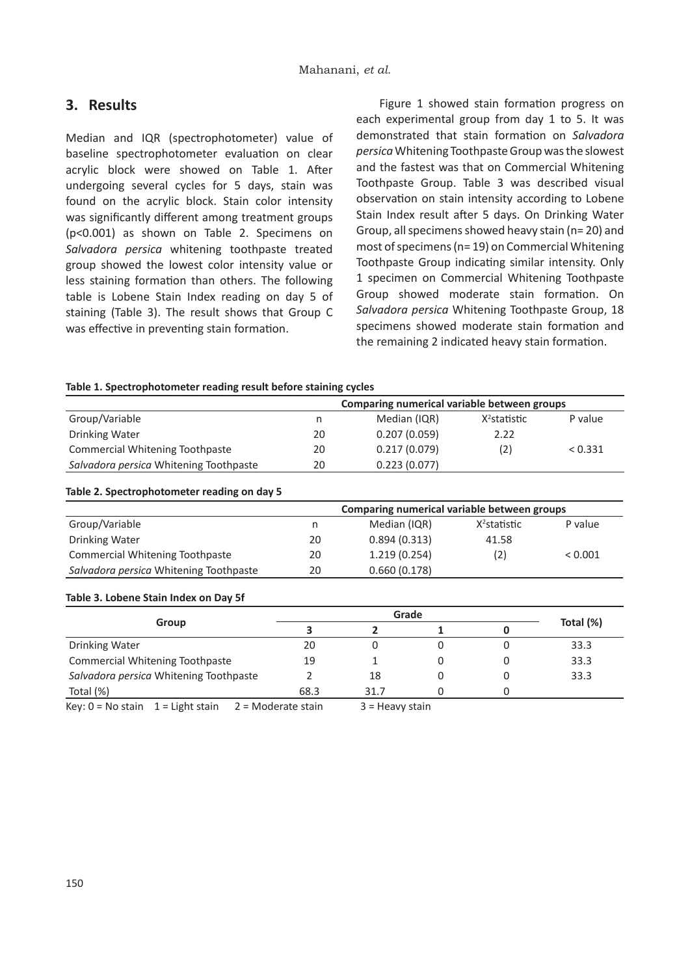## **3. Results**

Median and IQR (spectrophotometer) value of baseline spectrophotometer evaluation on clear acrylic block were showed on Table 1. After undergoing several cycles for 5 days, stain was found on the acrylic block. Stain color intensity was significantly different among treatment groups (p<0.001) as shown on Table 2. Specimens on *Salvadora persica* whitening toothpaste treated group showed the lowest color intensity value or less staining formation than others. The following table is Lobene Stain Index reading on day 5 of staining (Table 3). The result shows that Group C was effective in preventing stain formation.

Figure 1 showed stain formation progress on each experimental group from day 1 to 5. It was demonstrated that stain formation on *Salvadora persica* Whitening Toothpaste Group was the slowest and the fastest was that on Commercial Whitening Toothpaste Group. Table 3 was described visual observation on stain intensity according to Lobene Stain Index result after 5 days. On Drinking Water Group, all specimens showed heavy stain (n= 20) and most of specimens (n= 19) on Commercial Whitening Toothpaste Group indicating similar intensity. Only 1 specimen on Commercial Whitening Toothpaste Group showed moderate stain formation. On *Salvadora persica* Whitening Toothpaste Group, 18 specimens showed moderate stain formation and the remaining 2 indicated heavy stain formation.

#### **Table 1. Spectrophotometer reading result before staining cycles**

|                                        | Comparing numerical variable between groups |              |                 |         |  |
|----------------------------------------|---------------------------------------------|--------------|-----------------|---------|--|
| Group/Variable                         | n                                           | Median (IQR) | $X^2$ statistic | P value |  |
| Drinking Water                         | 20                                          | 0.207(0.059) | 2.22            |         |  |
| Commercial Whitening Toothpaste        | 20                                          | 0.217(0.079) | (2)             | < 0.331 |  |
| Salvadora persica Whitening Toothpaste | 20                                          | 0.223(0.077) |                 |         |  |

#### **Table 2. Spectrophotometer reading on day 5**

|                                        |    | Comparing numerical variable between groups |                 |         |  |
|----------------------------------------|----|---------------------------------------------|-----------------|---------|--|
| Group/Variable                         | n  | Median (IQR)                                | $X^2$ statistic | P value |  |
| Drinking Water                         | 20 | 0.894(0.313)                                | 41.58           |         |  |
| Commercial Whitening Toothpaste        | 20 | 1.219(0.254)                                | (2)             | < 0.001 |  |
| Salvadora persica Whitening Toothpaste | 20 | 0.660(0.178)                                |                 |         |  |

#### **Table 3. Lobene Stain Index on Day 5f**

| Group                                  | Grade |      |   |  |           |
|----------------------------------------|-------|------|---|--|-----------|
|                                        |       |      |   |  | Total (%) |
| Drinking Water                         | 20    |      |   |  | 33.3      |
| <b>Commercial Whitening Toothpaste</b> | 19    |      |   |  | 33.3      |
| Salvadora persica Whitening Toothpaste |       | 18   | 0 |  | 33.3      |
| Total (%)                              | 68.3  | 31.7 |   |  |           |

Key:  $0 = No$  stain  $1 =$  Light stain  $2 =$  Moderate stain  $3 =$  Heavy stain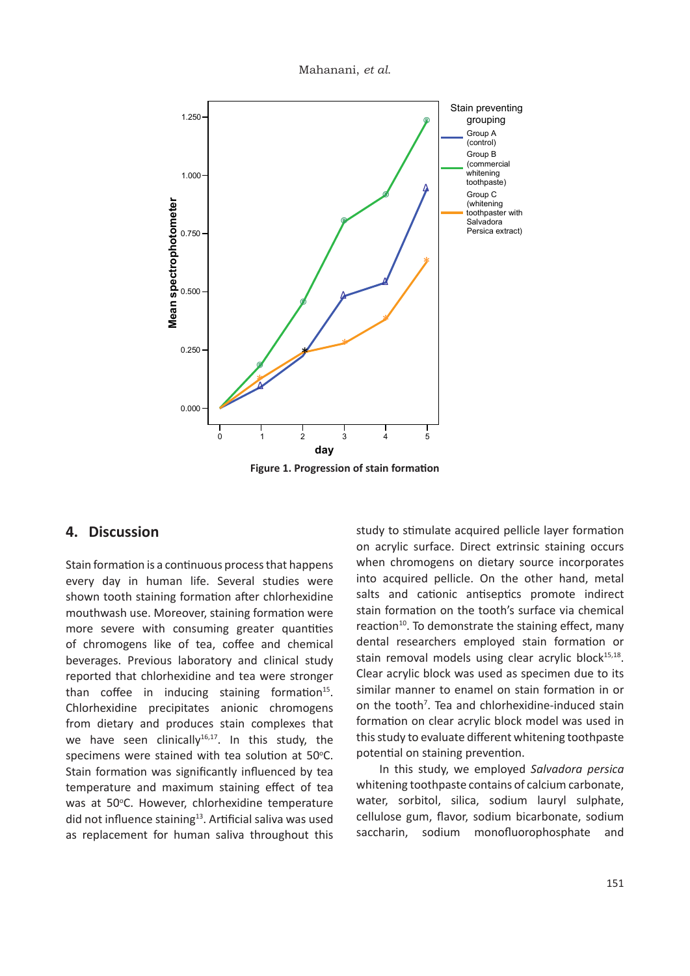Mahanani, *et al.* Mahanani, *et al.*



Group A Group A (control) (control)

# **4. Discussion 4. Discussion**

did not influence staining<sup>13</sup><sub>000</sub>Artificial saliva was used specimens were stained with tea solution at 50°C. than coffee in induci<sup>ngo</sup> staining formation<sup>15</sup>. more severe with consuming greater quantities 1.000 1.000 **Mean spectrophotometer Mean spectrophotometer** Stain formation is a continuous process that happens Stain formation is a continuous process that happens every day in human life. Several studies were shown tooth staining formation after chlorhexidine mouthwash use. Mor $\sum_{i=1}^{\infty}$ yer, staining formation were of chromogens like  $\frac{1}{2}$  tea, coffee and chemical beverages. Previous  $\beta$ boratory and clinical study reported that chlorhexidine and tea were stronger reported that chlorhexidine and tea were stronger Chlorhexidine precipitates anionic chromogens Chlorhexidine precipitates anionic chromogens from dietary and produces stain complexes that we have seen clinically<sup>16,17</sup>. In this study, the Stain formation was significantly influenced by tea Stain formation was significantly influenced by tea temperature and maximum staining effect of tea temperature and maximum staining effect of tea was at 50°C. However, chlorhexidine temperature as replacement for human saliva throughout this as replacement for human saliva throughout this study to stimulate acquired pell@teukByer formation **(commercial** (commercial<br>Whitening<br>Whitening when chromogens on dietary southpestincorporates into acquired pellicle. On the Other hand, metal (whitening ้ (whitening<br>ั<del>t</del>ooหิñุβa&ิษิเ⊄ี&ith<sup>i</sup> stain formation on the tooth's Surface via chemical Persica extract) Persica extract) reaction<sup>10</sup>. To demonstrate the staining effect, many reaction<sup>10</sup>. To demonstrate the staining effect, many on acrylic surface. Direct extrinsic commercialing occurs salts and cationic antiseptics will enling dental researchers employed stain formation or dental researchers employed stain formation or stain removal models using clear acrylic block<sup>15,18</sup>. Clear acrylic block was used as specimen due to its Clear acrylic block was used as specimen due to its similar manner to enamel on stain formation in or similar manner to enamel on stain formation in or on the tooth<sup>7</sup>. Tea and chlorhexidine-induced stain formation on clear acrylic block model was used in formation on clear acrylic block model was used in this study to evaluate different whitening toothpaste this study to evaluate different whitening toothpaste potential on staining prevention. potential on staining prevention.

In this study, we employed *Salvadora persica* In this study, we employed *Salvadora persica* whitening toothpaste contains of calcium carbonate, whitening toothpaste contains of calcium carbonate, water, sorbitol, silica, sodium lauryl sulphate, water, sorbitol, silica, sodium lauryl sulphate, cellulose gum, flavor, sodium bicarbonate, sodium cellulose gum, flavor, sodium bicarbonate, sodium saccharin, sodium monofluorophosphate and saccharin, sodium monofluorophosphate and

0 1 2 3 4 5 **day day** 0 1 2 3 4 5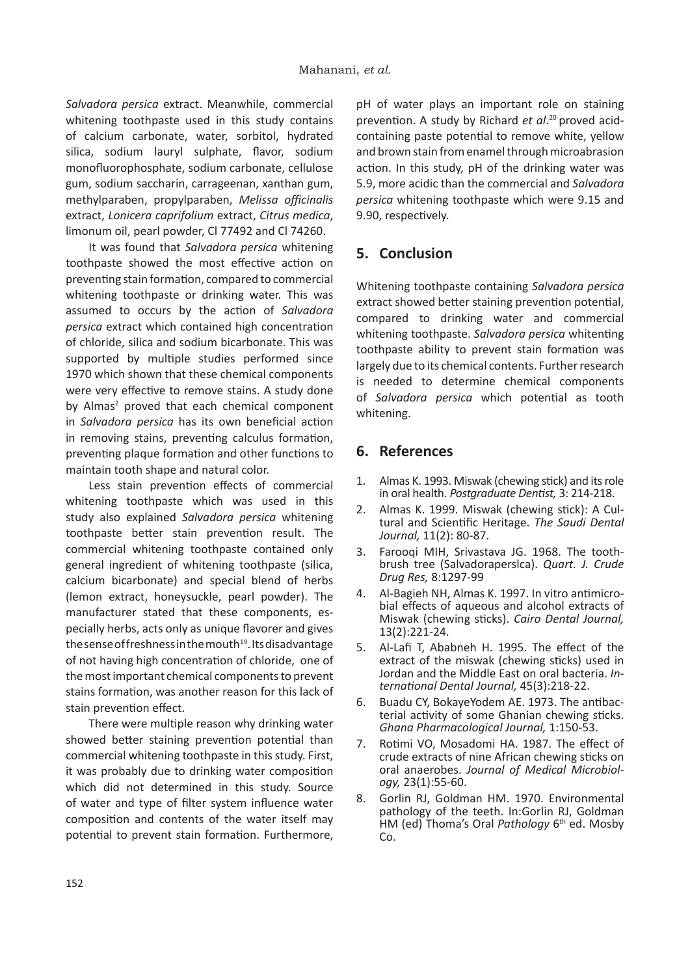*Salvadora persica* extract. Meanwhile, commercial whitening toothpaste used in this study contains of calcium carbonate, water, sorbitol, hydrated silica, sodium lauryl sulphate, flavor, sodium monofluorophosphate, sodium carbonate, cellulose gum, sodium saccharin, carrageenan, xanthan gum, methylparaben, propylparaben, *Melissa officinalis* extract, *Lonicera caprifolium* extract, *Citrus medica*, limonum oil, pearl powder, Cl 77492 and Cl 74260.

It was found that *Salvadora persica* whitening toothpaste showed the most effective action on preventing stain formation, compared to commercial whitening toothpaste or drinking water. This was assumed to occurs by the action of *Salvadora persica* extract which contained high concentration of chloride, silica and sodium bicarbonate. This was supported by multiple studies performed since 1970 which shown that these chemical components were very effective to remove stains. A study done by Almas<sup>2</sup> proved that each chemical component in *Salvadora persica* has its own beneficial action in removing stains, preventing calculus formation, preventing plaque formation and other functions to maintain tooth shape and natural color.

Less stain prevention effects of commercial whitening toothpaste which was used in this study also explained *Salvadora persica* whitening toothpaste better stain prevention result. The commercial whitening toothpaste contained only general ingredient of whitening toothpaste (silica, calcium bicarbonate) and special blend of herbs (lemon extract, honeysuckle, pearl powder). The manufacturer stated that these components, especially herbs, acts only as unique flavorer and gives the sense of freshness in the mouth<sup>19</sup>. Its disadvantage of not having high concentration of chloride, one of the most important chemical components to prevent stains formation, was another reason for this lack of stain prevention effect.

There were multiple reason why drinking water showed better staining prevention potential than commercial whitening toothpaste in this study. First, it was probably due to drinking water composition which did not determined in this study. Source of water and type of filter system influence water composition and contents of the water itself may potential to prevent stain formation. Furthermore,

pH of water plays an important role on staining prevention. A study by Richard *et al*. 20 proved acidcontaining paste potential to remove white, yellow and brown stain from enamel through microabrasion action. In this study, pH of the drinking water was 5.9, more acidic than the commercial and *Salvadora persica* whitening toothpaste which were 9.15 and 9.90, respectively.

# **5. Conclusion**

Whitening toothpaste containing *Salvadora persica* extract showed better staining prevention potential, compared to drinking water and commercial whitening toothpaste. *Salvadora persica* whitenting toothpaste ability to prevent stain formation was largely due to its chemical contents. Further research is needed to determine chemical components of *Salvadora persica* which potential as tooth whitening.

### **6. References**

- 1. Almas K. 1993. Miswak (chewing stick) and its role in oral health. *Postgraduate Dentist,* 3: 214-218.
- 2. Almas K. 1999. Miswak (chewing stick): A Cultural and Scientific Heritage. *The Saudi Dental Journal,* 11(2): 80-87.
- 3. Farooqi MIH, Srivastava JG. 1968. The toothbrush tree (Salvadoraperslca). *Quart. J. Crude Drug Res,* 8:1297-99
- 4. Al-Bagieh NH, Almas K. 1997. In vitro antimicro- bial effects of aqueous and alcohol extracts of Miswak (chewing sticks). *Cairo Dental Journal,* 13(2):221-24.
- 5. Al-Lafi T, Ababneh H. 1995. The effect of the extract of the miswak (chewing sticks) used in Jordan and the Middle East on oral bacteria. *In- ternational Dental Journal,* 45(3):218-22.
- 6. Buadu CY, BokayeYodem AE. 1973. The antibac- terial activity of some Ghanian chewing sticks. *Ghana Pharmacological Journal,* 1:150-53.
- 7. Rotimi VO, Mosadomi HA. 1987. The effect of crude extracts of nine African chewing sticks on oral anaerobes. *Journal of Medical Microbiol- ogy,* 23(1):55-60.
- 8. Gorlin RJ, Goldman HM. 1970. Environmental pathology of the teeth. In:Gorlin RJ, Goldman HM (ed) Thoma's Oral *Pathology* 6th ed. Mosby Co.